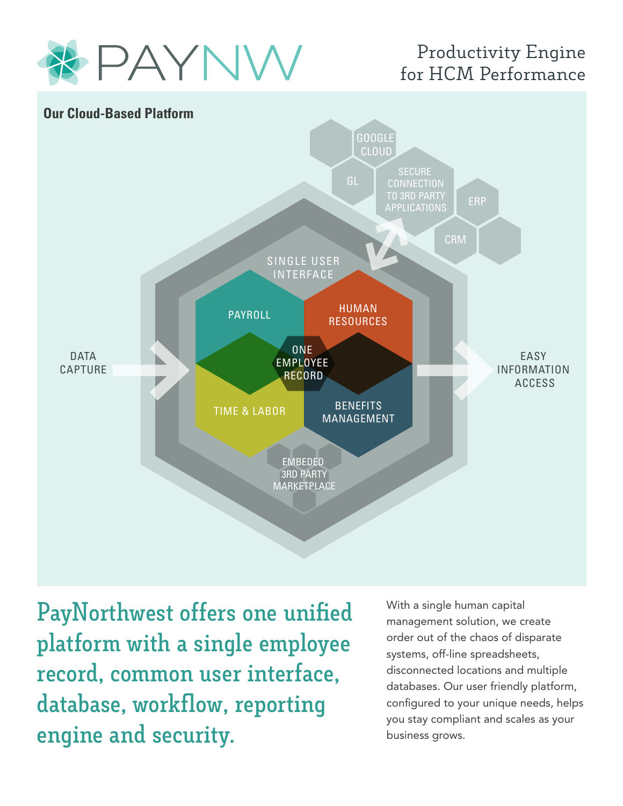

## Productivity Engine for HCM Performance



**PayNorthwest offers one unified platform with a single employee record, common user interface, database, workflow, reporting engine and security.**

With a single human capital management solution, we create order out of the chaos of disparate systems, off-line spreadsheets, disconnected locations and multiple databases. Our user friendly platform, configured to your unique needs, helps you stay compliant and scales as your business grows.